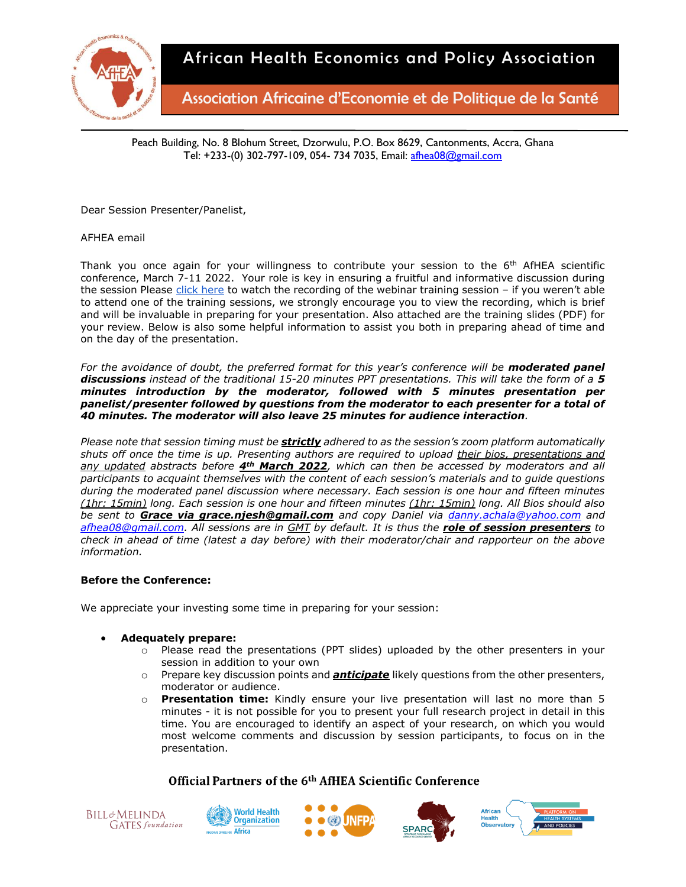

Association Africaine d'Economie et de Politique de la Santé

Peach Building, No. 8 Blohum Street, Dzorwulu, P.O. Box 8629, Cantonments, Accra, Ghana Tel: +233-(0) 302-797-109, 054- 734 7035, Email: [afhea08@gmail.com](mailto:afhea08@gmail.com)

Dear Session Presenter/Panelist,

# AFHEA email

Thank you once again for your willingness to contribute your session to the  $6<sup>th</sup>$  AfHEA scientific conference, March 7-11 2022. Your role is key in ensuring a fruitful and informative discussion during the session Please [click here](https://confex-1.zoom.us/rec/play/nqusWfjJZbWeEkiyG3jHXaWL61RbPjQQRfVizK9h9apwkplYqaTe7tjawG84-gx6HJo7lsEFWNdKZEHE.e5nE33V8ayppyWvH) to watch the recording of the webinar training session – if you weren't able to attend one of the training sessions, we strongly encourage you to view the recording, which is brief and will be invaluable in preparing for your presentation. Also attached are the training slides (PDF) for your review. Below is also some helpful information to assist you both in preparing ahead of time and on the day of the presentation.

For the avoidance of doubt, the preferred format for this year's conference will be **moderated panel** *discussions instead of the traditional 15-20 minutes PPT presentations. This will take the form of a 5 minutes introduction by the moderator, followed with 5 minutes presentation per panelist/presenter followed by questions from the moderator to each presenter for a total of 40 minutes. The moderator will also leave 25 minutes for audience interaction.* 

*Please note that session timing must be strictly adhered to as the session's zoom platform automatically shuts off once the time is up. Presenting authors are required to upload their bios, presentations and any updated abstracts before 4th March 2022, which can then be accessed by moderators and all participants to acquaint themselves with the content of each session's materials and to guide questions during the moderated panel discussion where necessary. Each session is one hour and fifteen minutes (1hr: 15min) long. Each session is one hour and fifteen minutes (1hr: 15min) long. All Bios should also be sent to Grace via grace.njesh@gmail.com and copy Daniel via [danny.achala@yahoo.com](mailto:danny.achala@yahoo.com) and [afhea08@gmail.com.](mailto:afhea08@gmail.com) All sessions are in GMT by default. It is thus the role of session presenters to check in ahead of time (latest a day before) with their moderator/chair and rapporteur on the above information.*

#### **Before the Conference:**

We appreciate your investing some time in preparing for your session:

# • **Adequately prepare:**

- $\circ$  Please read the presentations (PPT slides) uploaded by the other presenters in your session in addition to your own
- o Prepare key discussion points and *anticipate* likely questions from the other presenters, moderator or audience.
- o **Presentation time:** Kindly ensure your live presentation will last no more than 5 minutes - it is not possible for you to present your full research project in detail in this time. You are encouraged to identify an aspect of your research, on which you would most welcome comments and discussion by session participants, to focus on in the presentation.









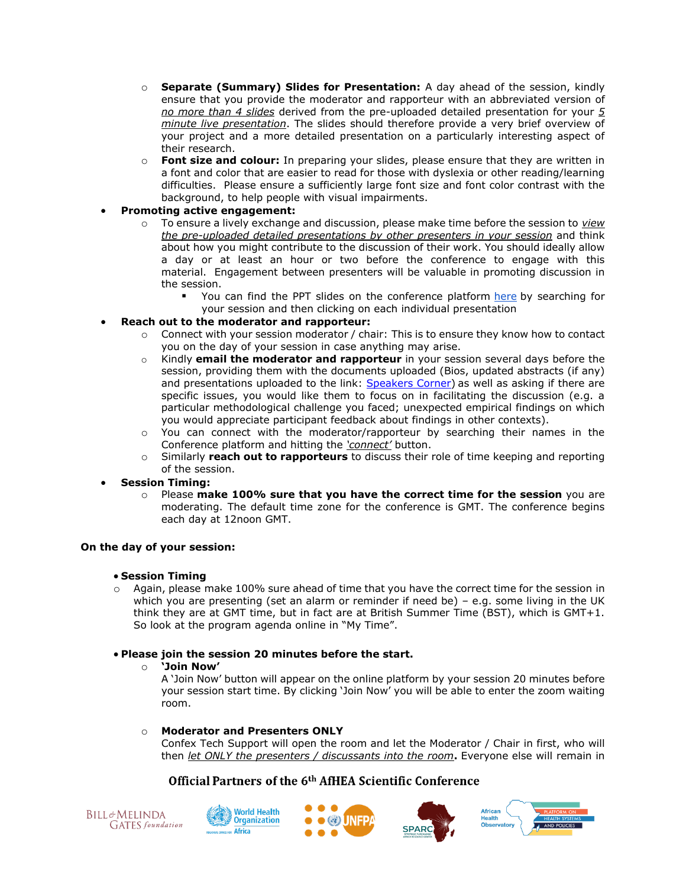- o **Separate (Summary) Slides for Presentation:** A day ahead of the session, kindly ensure that you provide the moderator and rapporteur with an abbreviated version of *no more than 4 slides* derived from the pre-uploaded detailed presentation for your *5 minute live presentation*. The slides should therefore provide a very brief overview of your project and a more detailed presentation on a particularly interesting aspect of their research.
- o **Font size and colour:** In preparing your slides, please ensure that they are written in a font and color that are easier to read for those with dyslexia or other reading/learning difficulties. Please ensure a sufficiently large font size and font color contrast with the background, to help people with visual impairments.
- **Promoting active engagement:** 
	- o To ensure a lively exchange and discussion, please make time before the session to *view the pre-uploaded detailed presentations by other presenters in your session* and think about how you might contribute to the discussion of their work. You should ideally allow a day or at least an hour or two before the conference to engage with this material. Engagement between presenters will be valuable in promoting discussion in the session.
		- You can find the PPT slides on the conference platform [here](https://afhea.confex.com/afhea/2022/meetingapp.cgi/Home/0) by searching for your session and then clicking on each individual presentation
- **Reach out to the moderator and rapporteur:**
	- $\circ$  Connect with your session moderator / chair: This is to ensure they know how to contact you on the day of your session in case anything may arise.
	- o Kindly **email the moderator and rapporteur** in your session several days before the session, providing them with the documents uploaded (Bios, updated abstracts (if any) and presentations uploaded to the link: [Speakers Corner\)](Speakers%20Corner:%20https:/afhea.confex.com/afhea/2022/abstractsen/extra/index.cgi?EntryType=Paper&username=1626&password=*cookie) as well as asking if there are specific issues, you would like them to focus on in facilitating the discussion (e.g. a particular methodological challenge you faced; unexpected empirical findings on which you would appreciate participant feedback about findings in other contexts).
	- o You can connect with the moderator/rapporteur by searching their names in the Conference platform and hitting the *'connect'* button.
	- o Similarly **reach out to rapporteurs** to discuss their role of time keeping and reporting of the session.
- **Session Timing:**
	- o Please **make 100% sure that you have the correct time for the session** you are moderating. The default time zone for the conference is GMT. The conference begins each day at 12noon GMT.

# **On the day of your session:**

# • **Session Timing**

 $\circ$  Again, please make 100% sure ahead of time that you have the correct time for the session in which you are presenting (set an alarm or reminder if need be) – e.g. some living in the UK think they are at GMT time, but in fact are at British Summer Time (BST), which is GMT+1. So look at the program agenda online in "My Time".

# • **Please join the session 20 minutes before the start.**

# o **'Join Now'**

A 'Join Now' button will appear on the online platform by your session 20 minutes before your session start time. By clicking 'Join Now' you will be able to enter the zoom waiting room.

# o **Moderator and Presenters ONLY**

Confex Tech Support will open the room and let the Moderator / Chair in first, who will then *let ONLY the presenters / discussants into the room***.** Everyone else will remain in







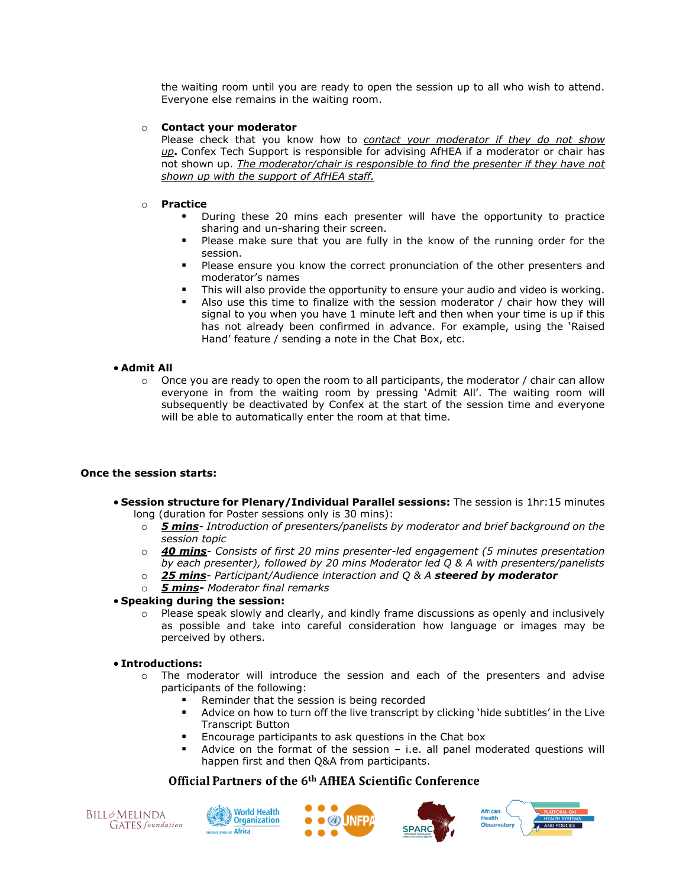the waiting room until you are ready to open the session up to all who wish to attend. Everyone else remains in the waiting room.

### o **Contact your moderator**

Please check that you know how to *contact your moderator if they do not show up***.** Confex Tech Support is responsible for advising AfHEA if a moderator or chair has not shown up. *The moderator/chair is responsible to find the presenter if they have not shown up with the support of AfHEA staff.*

#### o **Practice**

- During these 20 mins each presenter will have the opportunity to practice sharing and un-sharing their screen.
- Please make sure that you are fully in the know of the running order for the session.
- Please ensure you know the correct pronunciation of the other presenters and moderator's names
- This will also provide the opportunity to ensure your audio and video is working.
- Also use this time to finalize with the session moderator / chair how they will signal to you when you have 1 minute left and then when your time is up if this has not already been confirmed in advance. For example, using the 'Raised Hand' feature / sending a note in the Chat Box, etc.

#### • **Admit All**

 $\circ$  Once you are ready to open the room to all participants, the moderator / chair can allow everyone in from the waiting room by pressing 'Admit All'. The waiting room will subsequently be deactivated by Confex at the start of the session time and everyone will be able to automatically enter the room at that time.

#### **Once the session starts:**

- **Session structure for Plenary/Individual Parallel sessions:** The session is 1hr:15 minutes long (duration for Poster sessions only is 30 mins):
	- o *5 mins- Introduction of presenters/panelists by moderator and brief background on the session topic*
	- o *40 mins- Consists of first 20 mins presenter-led engagement (5 minutes presentation by each presenter), followed by 20 mins Moderator led Q & A with presenters/panelists*
	- o *25 mins- Participant/Audience interaction and Q & A steered by moderator*
	- o *5 mins- Moderator final remarks*

# • **Speaking during the session:**

 $\circ$  Please speak slowly and clearly, and kindly frame discussions as openly and inclusively as possible and take into careful consideration how language or images may be perceived by others.

#### • **Introductions:**

- o The moderator will introduce the session and each of the presenters and advise participants of the following:
	- Reminder that the session is being recorded
	- Advice on how to turn off the live transcript by clicking 'hide subtitles' in the Live Transcript Button
	- Encourage participants to ask questions in the Chat box
	- Advice on the format of the session  $-$  i.e. all panel moderated questions will happen first and then Q&A from participants.









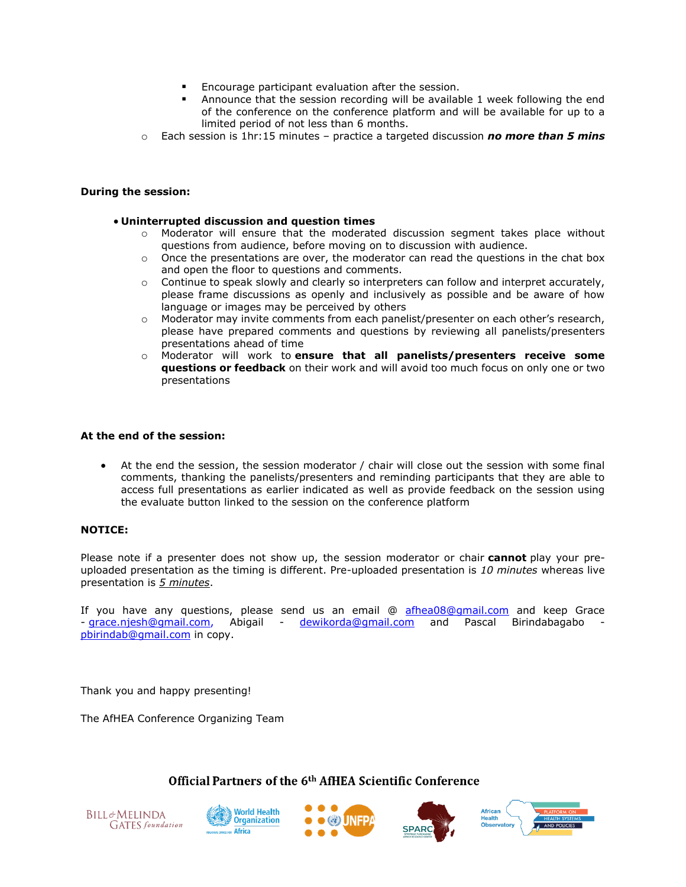- Encourage participant evaluation after the session.
- Announce that the session recording will be available 1 week following the end of the conference on the conference platform and will be available for up to a limited period of not less than 6 months.
- o Each session is 1hr:15 minutes practice a targeted discussion *no more than 5 mins*

### **During the session:**

### • **Uninterrupted discussion and question times**

- $\circ$  Moderator will ensure that the moderated discussion segment takes place without questions from audience, before moving on to discussion with audience.
- $\circ$  Once the presentations are over, the moderator can read the questions in the chat box and open the floor to questions and comments.
- o Continue to speak slowly and clearly so interpreters can follow and interpret accurately, please frame discussions as openly and inclusively as possible and be aware of how language or images may be perceived by others
- $\circ$  Moderator may invite comments from each panelist/presenter on each other's research, please have prepared comments and questions by reviewing all panelists/presenters presentations ahead of time
- o Moderator will work to **ensure that all panelists/presenters receive some questions or feedback** on their work and will avoid too much focus on only one or two presentations

### **At the end of the session:**

• At the end the session, the session moderator / chair will close out the session with some final comments, thanking the panelists/presenters and reminding participants that they are able to access full presentations as earlier indicated as well as provide feedback on the session using the evaluate button linked to the session on the conference platform

# **NOTICE:**

Please note if a presenter does not show up, the session moderator or chair **cannot** play your preuploaded presentation as the timing is different. Pre-uploaded presentation is *10 minutes* whereas live presentation is *5 minutes*.

If you have any questions, please send us an email @ [afhea08@gmail.com](mailto:afhea08@gmail.com) and keep Grace - [grace.njesh@gmail.com,](mailto:grace.njesh@gmail.com/) Abigail - [dewikorda@gmail.com](mailto:dewikorda@gmail.com) and Pascal Birindabagabo [pbirindab@gmail.com](mailto:pbirindab@gmail.com) in copy.

Thank you and happy presenting!

**BILL&MELINDA** 

**GATES** foundation

The AfHEA Conference Organizing Team

**Africa**